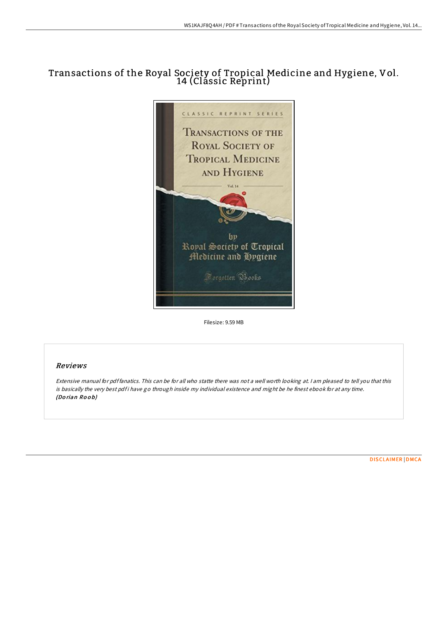# Transactions of the Royal Society of Tropical Medicine and Hygiene, Vol. 14 (Clássic Reprint)



Filesize: 9.59 MB

## Reviews

Extensive manual for pdf fanatics. This can be for all who statte there was not <sup>a</sup> well worth looking at. <sup>I</sup> am pleased to tell you that this is basically the very best pdf i have go through inside my individual existence and might be he finest ebook for at any time. (Do rian Ro <sup>o</sup> b)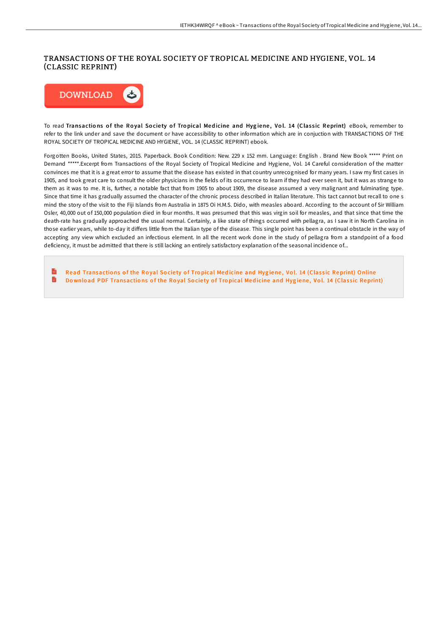## TRANSACTIONS OF THE ROYAL SOCIETY OF TROPICAL MEDICINE AND HYGIENE, VOL. 14 (CLASSIC REPRINT)



To read Transactions of the Royal Society of Tropical Medicine and Hygiene, Vol. 14 (Classic Reprint) eBook, remember to refer to the link under and save the document or have accessibility to other information which are in conjuction with TRANSACTIONS OF THE ROYAL SOCIETY OF TROPICAL MEDICINE AND HYGIENE, VOL. 14 (CLASSIC REPRINT) ebook.

Forgotten Books, United States, 2015. Paperback. Book Condition: New. 229 x 152 mm. Language: English . Brand New Book \*\*\*\*\* Print on Demand \*\*\*\*\*.Excerpt from Transactions of the Royal Society of Tropical Medicine and Hygiene, Vol. 14 Careful consideration of the matter convinces me that it is a great error to assume that the disease has existed in that country unrecognised for many years. I saw my first cases in 1905, and took great care to consult the older physicians in the fields of its occurrence to learn if they had ever seen it, but it was as strange to them as it was to me. It is, further, a notable fact that from 1905 to about 1909, the disease assumed a very malignant and fulminating type. Since that time it has gradually assumed the character of the chronic process described in Italian literature. This tact cannot but recall to one s mind the story of the visit to the Fiji Islands from Australia in 1875 Oi H.M.S. Dido, with measles aboard. According to the account of Sir William Osler, 40,000 out of 150,000 population died in four months. It was presumed that this was virgin soil for measles, and that since that time the death-rate has gradually approached the usual normal. Certainly, a like state of things occurred with pellagra, as I saw it in North Carolina in those earlier years, while to-day it differs little from the Italian type of the disease. This single point has been a continual obstacle in the way of accepting any view which excluded an infectious element. In all the recent work done in the study of pellagra from a standpoint of a food deficiency, it must be admitted that there is still lacking an entirely satisfactory explanation of the seasonal incidence of...

**Inch** Read [Transactio](http://almighty24.tech/transactions-of-the-royal-society-of-tropical-me-1.html)ns of the Royal Society of Tropical Medicine and Hygiene, Vol. 14 (Classic Reprint) Online D Download PDF [Transactio](http://almighty24.tech/transactions-of-the-royal-society-of-tropical-me-1.html)ns of the Royal Society of Tropical Medicine and Hygiene, Vol. 14 (Classic Reprint)